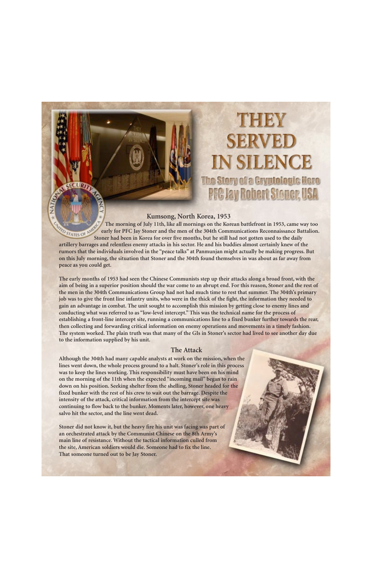# **THEM SERVED IN SILENCE** The Stery of a Cryptologic Hero **PFC Jay Robert Stoner, USA**

# **Kumsong, North Korea, 1953**

**The morning of July 11th, like all mornings on the Korean battlefront in 1953, came way too CO STATES OF AM early for PFC Jay Stoner and the men of the 304th Communications Reconnaissance Battalion. Stoner had been in Korea for over five months, but he still had not gotten used to the daily artillery barrages and relentless enemy attacks in his sector. He and his buddies almost certainly knew of the rumors that the individuals involved in the "peace talks" at Panmunjan might actually be making progress. But on this July morning, the situation that Stoner and the 304th found themselves in was about as far away from peace as you could get.** 

**The early months of 1953 had seen the Chinese Communists step up their attacks along a broad front, with the aim of being in a superior position should the war come to an abrupt end. For this reason, Stoner and the rest of the men in the 304th Communications Group had not had much time to rest that summer. The 304th's primary job was to give the front line infantry units, who were in the thick of the fight, the information they needed to gain an advantage in combat. The unit sought to accomplish this mission by getting close to enemy lines and conducting what was referred to as "low-level intercept." This was the technical name for the process of establishing a front-line intercept site, running a communications line to a fixed bunker further towards the rear, then collecting and forwarding critical information on enemy operations and movements in a timely fashion. The system worked. The plain truth was that many of the GIs in Stoner's sector had lived to see another day due to the information supplied by his unit.** 

# **The Attack**

**Although the 304th had many capable analysts at work on the mission, when the lines went down, the whole process ground to a halt. Stoner's role in this process was to keep the lines working. This responsibility must have been on his mind on the morning of the 11th when the expected "incoming mail" began to rain down on his position. Seeking shelter from the shelling, Stoner headed for the fixed bunker with the rest of his crew to wait out the barrage. Despite the intensity of the attack, critical information from the intercept site was continuing to flow back to the bunker. Moments later, however, one heavy salvo hit the sector, and the line went dead.** 

SECURI

**Stoner did not know it, but the heavy fire his unit was facing was part of an orchestrated attack by the Communist Chinese on the 8th Army's main line of resistance. Without the tactical information culled from the site, American soldiers would die. Someone had to fix the line. That someone turned out to be Jay Stoner.**